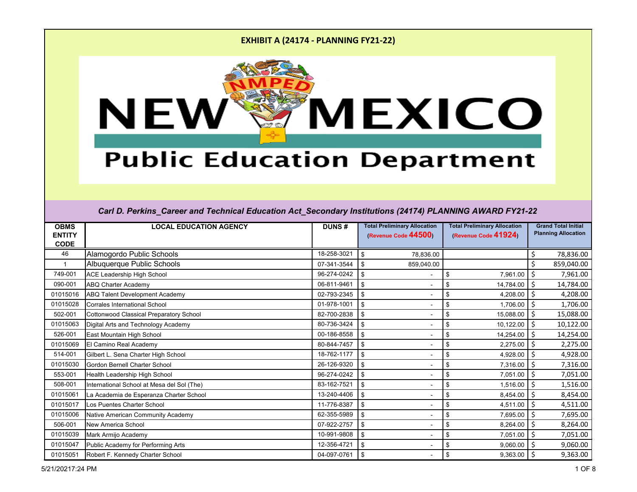

# **Public Education Department**

| <b>OBMS</b><br><b>ENTITY</b><br><b>CODE</b> | <b>LOCAL EDUCATION AGENCY</b>              | <b>DUNS#</b> | <b>Total Preliminary Allocation</b><br>(Revenue Code 44500) | <b>Total Preliminary Allocation</b><br>(Revenue Code 41924) | <b>Grand Total Initial</b><br><b>Planning Allocation</b> |
|---------------------------------------------|--------------------------------------------|--------------|-------------------------------------------------------------|-------------------------------------------------------------|----------------------------------------------------------|
| 46                                          | Alamogordo Public Schools                  | 18-258-3021  | \$<br>78,836.00                                             |                                                             | 78,836.00<br>\$                                          |
|                                             | Albuquerque Public Schools                 | 07-341-3544  | \$<br>859,040.00                                            |                                                             | \$<br>859,040.00                                         |
| 749-001                                     | <b>ACE Leadership High School</b>          | 96-274-0242  | $\sqrt[6]{3}$                                               | \$<br>7,961.00                                              | \$<br>7,961.00                                           |
| 090-001                                     | <b>ABQ Charter Academy</b>                 | 06-811-9461  | \$                                                          | 14,784.00<br>\$                                             | \$<br>14,784.00                                          |
| 01015016                                    | <b>ABQ Talent Development Academy</b>      | 02-793-2345  | \$                                                          | \$<br>4,208.00                                              | 4,208.00                                                 |
| 01015028                                    | <b>Corrales International School</b>       | 01-978-1001  | \$                                                          | \$<br>1,706.00                                              | \$<br>1,706.00                                           |
| 502-001                                     | Cottonwood Classical Preparatory School    | 82-700-2838  | \$                                                          | \$<br>15,088.00                                             | Ŝ.<br>15,088.00                                          |
| 01015063                                    | Digital Arts and Technology Academy        | 80-736-3424  | $\sqrt[6]{\frac{1}{2}}$                                     | 10,122.00<br>\$                                             | \$<br>10,122.00                                          |
| 526-001                                     | East Mountain High School                  | 00-186-8558  | $\boldsymbol{\mathsf{s}}$                                   | \$<br>14,254.00                                             | Ś.<br>14,254.00                                          |
| 01015069                                    | El Camino Real Academy                     | 80-844-7457  | \$                                                          | \$<br>2,275.00                                              | Ś.<br>2,275.00                                           |
| 514-001                                     | Gilbert L. Sena Charter High School        | 18-762-1177  | \$                                                          | \$<br>4,928.00                                              | Ś.<br>4,928.00                                           |
| 01015030                                    | Gordon Bernell Charter School              | 26-126-9320  | \$                                                          | 7,316.00<br>\$                                              | \$<br>7,316.00                                           |
| 553-001                                     | Health Leadership High School              | 96-274-0242  | \$                                                          | \$<br>7,051.00                                              | Ś.<br>7,051.00                                           |
| 508-001                                     | International School at Mesa del Sol (The) | 83-162-7521  | \$                                                          | \$<br>1,516.00                                              | 1,516.00                                                 |
| 01015061                                    | La Academia de Esperanza Charter School    | 13-240-4406  | \$                                                          | \$<br>8,454.00                                              | Ś.<br>8,454.00                                           |
| 01015017                                    | Los Puentes Charter School                 | 11-776-8387  | \$                                                          | \$<br>4,511.00                                              | \$<br>4,511.00                                           |
| 01015006                                    | Native American Community Academy          | 62-355-5989  | \$                                                          | \$<br>7,695.00                                              | \$<br>7,695.00                                           |
| 506-001                                     | <b>New America School</b>                  | 07-922-2757  | \$                                                          | $\boldsymbol{\mathsf{S}}$<br>8,264.00                       | 8,264.00<br>Ś.                                           |
| 01015039                                    | Mark Armijo Academy                        | 10-991-9808  | \$                                                          | \$<br>7,051.00                                              | \$<br>7,051.00                                           |
| 01015047                                    | Public Academy for Performing Arts         | 12-356-4721  | \$                                                          | \$<br>9,060.00                                              | Ś.<br>9,060.00                                           |
| 01015051                                    | Robert F. Kennedy Charter School           | 04-097-0761  | \$                                                          | 9,363.00<br>\$                                              | 9,363.00<br>\$                                           |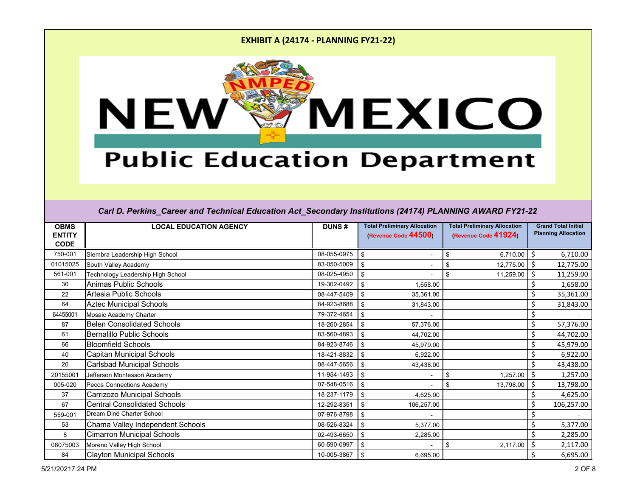

# **Public Education Department**

| <b>OBMS</b><br><b>ENTITY</b> | <b>LOCAL EDUCATION AGENCY</b>       | <b>DUNS#</b> | <b>Total Preliminary Allocation</b><br>(Revenue Code 44500) | <b>Total Preliminary Allocation</b><br>(Revenue Code 41924) | <b>Grand Total Initial</b><br><b>Planning Allocation</b> |
|------------------------------|-------------------------------------|--------------|-------------------------------------------------------------|-------------------------------------------------------------|----------------------------------------------------------|
| <b>CODE</b>                  |                                     |              |                                                             |                                                             |                                                          |
| 750-001                      | Siembra Leadership High School      | 08-055-0975  | \$                                                          | 6,710.00<br>\$                                              | 6,710.00<br>Ś                                            |
| 01015025                     | South Valley Academy                | 83-050-5009  | \$                                                          | \$<br>12,775.00                                             | 12,775.00<br>Ś                                           |
| 561-001                      | Technology Leadership High School   | 08-025-4950  | \$                                                          | \$<br>11,259.00                                             | 11,259.00                                                |
| 30                           | <b>Animas Public Schools</b>        | 19-302-0492  | \$<br>1,658.00                                              |                                                             | 1,658.00                                                 |
| 22                           | Artesia Public Schools              | 08-447-5409  | \$<br>35,361.00                                             |                                                             | 35,361.00                                                |
| 64                           | <b>Aztec Municipal Schools</b>      | 84-923-8688  | \$<br>31,843.00                                             |                                                             | 31,843.00                                                |
| 64455001                     | Mosaic Academy Charter              | 79-372-4654  | \$                                                          |                                                             |                                                          |
| 87                           | <b>Belen Consolidated Schools</b>   | 18-260-2854  | \$<br>57,376.00                                             |                                                             | \$<br>57,376.00                                          |
| 61                           | <b>Bernalillo Public Schools</b>    | 83-560-4893  | \$<br>44,702.00                                             |                                                             | 44,702.00                                                |
| 66                           | <b>Bloomfield Schools</b>           | 84-923-8746  | \$<br>45,979.00                                             |                                                             | 45,979.00<br>\$                                          |
| 40                           | Capitan Municipal Schools           | 18-421-8832  | \$<br>6,922.00                                              |                                                             | \$<br>6,922.00                                           |
| 20                           | <b>Carlsbad Municipal Schools</b>   | 08-447-5656  | \$<br>43,438.00                                             |                                                             | 43,438.00                                                |
| 20155001                     | Jefferson Montessori Academy        | 11-954-1493  | \$                                                          | 1,257.00<br>\$                                              | \$<br>1,257.00                                           |
| 005-020                      | Pecos Connections Academy           | 07-548-0516  | \$                                                          | \$<br>13,798.00                                             | 13,798.00<br>S                                           |
| 37                           | <b>Carrizozo Municipal Schools</b>  | 18-237-1179  | \$<br>4,625.00                                              |                                                             | 4,625.00                                                 |
| 67                           | <b>Central Consolidated Schools</b> | 12-292-8351  | \$<br>106,257.00                                            |                                                             | 106,257.00                                               |
| 559-001                      | Dream Diné Charter School           | 07-976-8798  | \$                                                          |                                                             |                                                          |
| 53                           | Chama Valley Independent Schools    | 08-526-8324  | \$<br>5,377.00                                              |                                                             | 5,377.00                                                 |
| 8                            | <b>Cimarron Municipal Schools</b>   | 02-493-6650  | \$<br>2,285.00                                              |                                                             | 2,285.00                                                 |
| 08075003                     | Moreno Valley High School           | 60-590-0997  | \$                                                          | \$<br>2,117.00                                              | \$<br>2,117.00                                           |
| 84                           | <b>Clayton Municipal Schools</b>    | 10-005-3867  | \$<br>6,695.00                                              |                                                             | \$<br>6,695.00                                           |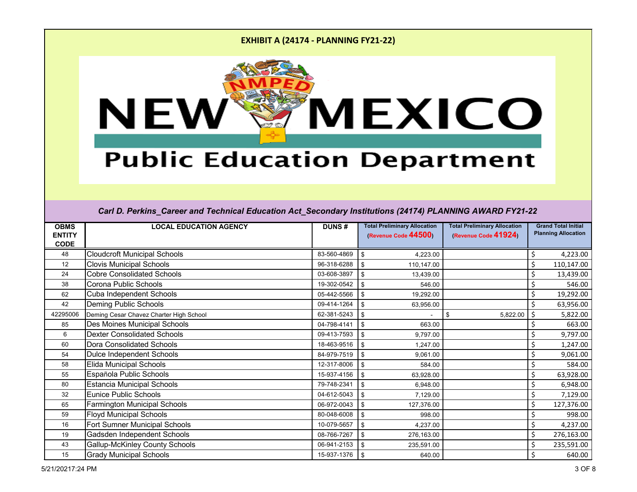

# **Public Education Department**

| <b>OBMS</b><br><b>ENTITY</b> | <b>LOCAL EDUCATION AGENCY</b>           | <b>DUNS#</b> | <b>Total Preliminary Allocation</b><br>(Revenue Code 44500) | <b>Total Preliminary Allocation</b><br>(Revenue Code 41924) | <b>Grand Total Initial</b><br><b>Planning Allocation</b> |
|------------------------------|-----------------------------------------|--------------|-------------------------------------------------------------|-------------------------------------------------------------|----------------------------------------------------------|
| <b>CODE</b>                  |                                         |              |                                                             |                                                             |                                                          |
| 48                           | <b>Cloudcroft Municipal Schools</b>     | 83-560-4869  | \$<br>4,223.00                                              |                                                             | 4,223.00<br>S                                            |
| 12                           | <b>Clovis Municipal Schools</b>         | 96-318-6288  | $\boldsymbol{\mathsf{S}}$<br>110,147.00                     |                                                             | \$<br>110,147.00                                         |
| 24                           | <b>Cobre Consolidated Schools</b>       | 03-608-3897  | $\boldsymbol{\mathsf{S}}$<br>13,439.00                      |                                                             | \$<br>13,439.00                                          |
| 38                           | Corona Public Schools                   | 19-302-0542  | \$<br>546.00                                                |                                                             | 546.00                                                   |
| 62                           | Cuba Independent Schools                | 05-442-5566  | \$<br>19,292.00                                             |                                                             | Ś<br>19,292.00                                           |
| 42                           | <b>Deming Public Schools</b>            | 09-414-1264  | \$<br>63,956.00                                             |                                                             | 63,956.00                                                |
| 42295006                     | Deming Cesar Chavez Charter High School | 62-381-5243  | \$                                                          | 5,822.00<br>\$                                              | \$<br>5,822.00                                           |
| 85                           | Des Moines Municipal Schools            | 04-798-4141  | $\sqrt[6]{3}$<br>663.00                                     |                                                             | 663.00                                                   |
| 6                            | <b>Dexter Consolidated Schools</b>      | 09-413-7593  | \$<br>9,797.00                                              |                                                             | 9,797.00<br>Ś.                                           |
| 60                           | <b>Dora Consolidated Schools</b>        | 18-463-9516  | \$<br>1,247.00                                              |                                                             | \$<br>1,247.00                                           |
| 54                           | <b>Dulce Independent Schools</b>        | 84-979-7519  | \$<br>9,061.00                                              |                                                             | \$<br>9,061.00                                           |
| 58                           | <b>Elida Municipal Schools</b>          | 12-317-8006  | \$<br>584.00                                                |                                                             | \$<br>584.00                                             |
| 55                           | Española Public Schools                 | 15-937-4156  | \$<br>63,928.00                                             |                                                             | \$<br>63,928.00                                          |
| 80                           | <b>Estancia Municipal Schools</b>       | 79-748-2341  | $\boldsymbol{\mathsf{S}}$<br>6,948.00                       |                                                             | 6,948.00                                                 |
| 32                           | <b>Eunice Public Schools</b>            | 04-612-5043  | \$<br>7,129.00                                              |                                                             | 7,129.00                                                 |
| 65                           | <b>Farmington Municipal Schools</b>     | 06-972-0043  | \$<br>127,376.00                                            |                                                             | \$<br>127,376.00                                         |
| 59                           | <b>Floyd Municipal Schools</b>          | 80-048-6008  | \$<br>998.00                                                |                                                             | 998.00                                                   |
| 16                           | Fort Sumner Municipal Schools           | 10-079-5657  | $\boldsymbol{\mathsf{s}}$<br>4,237.00                       |                                                             | \$<br>4,237.00                                           |
| 19                           | Gadsden Independent Schools             | 08-766-7267  | \$<br>276,163.00                                            |                                                             | 276,163.00<br>\$                                         |
| 43                           | <b>Gallup-McKinley County Schools</b>   | 06-941-2153  | \$<br>235,591.00                                            |                                                             | \$<br>235,591.00                                         |
| 15                           | <b>Grady Municipal Schools</b>          | 15-937-1376  | \$<br>640.00                                                |                                                             | 640.00                                                   |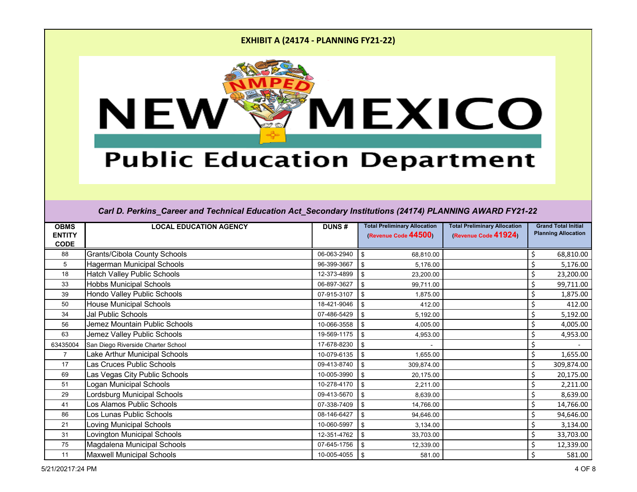

# **Public Education Department**

| <b>OBMS</b><br><b>ENTITY</b> | <b>LOCAL EDUCATION AGENCY</b>       | <b>DUNS#</b> | <b>Total Preliminary Allocation</b><br>(Revenue Code 44500) | <b>Total Preliminary Allocation</b><br>(Revenue Code 41924) | <b>Grand Total Initial</b><br><b>Planning Allocation</b> |
|------------------------------|-------------------------------------|--------------|-------------------------------------------------------------|-------------------------------------------------------------|----------------------------------------------------------|
| <b>CODE</b>                  |                                     |              |                                                             |                                                             |                                                          |
| 88                           | <b>Grants/Cibola County Schools</b> | 06-063-2940  | \$<br>68,810.00                                             |                                                             | 68,810.00<br>S                                           |
| 5                            | Hagerman Municipal Schools          | 96-399-3667  | \$<br>5,176.00                                              |                                                             | 5,176.00                                                 |
| 18                           | <b>Hatch Valley Public Schools</b>  | 12-373-4899  | $\boldsymbol{\mathsf{S}}$<br>23,200.00                      |                                                             | \$<br>23,200.00                                          |
| 33                           | <b>Hobbs Municipal Schools</b>      | 06-897-3627  | \$<br>99,711.00                                             |                                                             | \$<br>99,711.00                                          |
| 39                           | Hondo Valley Public Schools         | 07-915-3107  | \$<br>1,875.00                                              |                                                             | Ś<br>1,875.00                                            |
| 50                           | <b>House Municipal Schools</b>      | 18-421-9046  | $\sqrt[6]{\frac{1}{2}}$<br>412.00                           |                                                             | \$<br>412.00                                             |
| 34                           | <b>Jal Public Schools</b>           | 07-486-5429  | \$<br>5,192.00                                              |                                                             | \$<br>5,192.00                                           |
| 56                           | Jemez Mountain Public Schools       | 10-066-3558  | $\sqrt[6]{3}$<br>4,005.00                                   |                                                             | \$<br>4,005.00                                           |
| 63                           | Jemez Valley Public Schools         | 19-569-1175  | \$<br>4,953.00                                              |                                                             | \$<br>4,953.00                                           |
| 63435004                     | San Diego Riverside Charter School  | 17-678-8230  | \$                                                          |                                                             |                                                          |
| $\overline{7}$               | Lake Arthur Municipal Schools       | 10-079-6135  | \$<br>1,655.00                                              |                                                             | \$<br>1,655.00                                           |
| 17                           | Las Cruces Public Schools           | 09-413-8740  | \$<br>309,874.00                                            |                                                             | \$<br>309,874.00                                         |
| 69                           | Las Vegas City Public Schools       | 10-005-3990  | \$<br>20,175.00                                             |                                                             | \$<br>20,175.00                                          |
| 51                           | Logan Municipal Schools             | 10-278-4170  | \$<br>2,211.00                                              |                                                             | 2,211.00                                                 |
| 29                           | Lordsburg Municipal Schools         | 09-413-5670  | $\sqrt[6]{3}$<br>8,639.00                                   |                                                             | 8,639.00                                                 |
| 41                           | Los Alamos Public Schools           | 07-338-7409  | \$<br>14,766.00                                             |                                                             | \$<br>14,766.00                                          |
| 86                           | Los Lunas Public Schools            | 08-146-6427  | \$<br>94,646.00                                             |                                                             | Ś.<br>94,646.00                                          |
| 21                           | <b>Loving Municipal Schools</b>     | 10-060-5997  | \$<br>3,134.00                                              |                                                             | \$<br>3,134.00                                           |
| 31                           | <b>Lovington Municipal Schools</b>  | 12-351-4762  | \$<br>33,703.00                                             |                                                             | 33,703.00                                                |
| 75                           | Magdalena Municipal Schools         | 07-645-1756  | \$<br>12,339.00                                             |                                                             | \$<br>12,339.00                                          |
| 11                           | <b>Maxwell Municipal Schools</b>    | 10-005-4055  | \$<br>581.00                                                |                                                             | 581.00                                                   |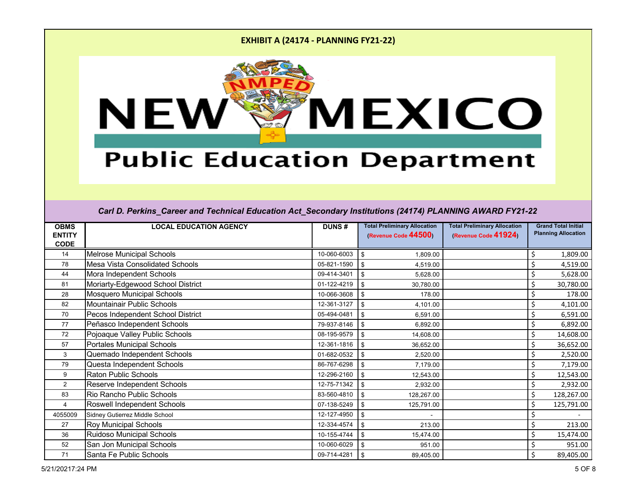

# **Public Education Department**

| <b>OBMS</b><br><b>ENTITY</b> | <b>LOCAL EDUCATION AGENCY</b>          | <b>DUNS#</b> | <b>Total Preliminary Allocation</b><br>(Revenue Code 44500) | <b>Total Preliminary Allocation</b><br>(Revenue Code 41924) | <b>Grand Total Initial</b><br><b>Planning Allocation</b> |
|------------------------------|----------------------------------------|--------------|-------------------------------------------------------------|-------------------------------------------------------------|----------------------------------------------------------|
| <b>CODE</b>                  |                                        |              |                                                             |                                                             |                                                          |
| 14                           | <b>Melrose Municipal Schools</b>       | 10-060-6003  | \$<br>1,809.00                                              |                                                             | 1,809.00<br>Ś                                            |
| 78                           | <b>Mesa Vista Consolidated Schools</b> | 05-821-1590  | $\sqrt[6]{\frac{1}{2}}$<br>4,519.00                         |                                                             | \$<br>4,519.00                                           |
| 44                           | Mora Independent Schools               | 09-414-3401  | \$<br>5,628.00                                              |                                                             | 5,628.00                                                 |
| 81                           | Moriarty-Edgewood School District      | 01-122-4219  | \$<br>30,780.00                                             |                                                             | \$<br>30,780.00                                          |
| 28                           | <b>Mosquero Municipal Schools</b>      | 10-066-3608  | -\$<br>178.00                                               |                                                             | \$<br>178.00                                             |
| 82                           | <b>Mountainair Public Schools</b>      | 12-361-3127  | \$<br>4,101.00                                              |                                                             | \$<br>4,101.00                                           |
| 70                           | Pecos Independent School District      | 05-494-0481  | \$<br>6,591.00                                              |                                                             | 6,591.00                                                 |
| 77                           | Peñasco Independent Schools            | 79-937-8146  | \$<br>6,892.00                                              |                                                             | 6,892.00                                                 |
| 72                           | Pojoaque Valley Public Schools         | 08-195-9579  | \$<br>14,608.00                                             |                                                             | \$<br>14,608.00                                          |
| 57                           | <b>Portales Municipal Schools</b>      | 12-361-1816  | \$<br>36,652.00                                             |                                                             | \$<br>36,652.00                                          |
| 3                            | Quemado Independent Schools            | 01-682-0532  | 2,520.00<br>\$                                              |                                                             | \$<br>2,520.00                                           |
| 79                           | Questa Independent Schools             | 86-767-6298  | \$<br>7,179.00                                              |                                                             | \$<br>7,179.00                                           |
| 9                            | <b>Raton Public Schools</b>            | 12-296-2160  | \$<br>12,543.00                                             |                                                             | \$<br>12,543.00                                          |
| $\overline{2}$               | Reserve Independent Schools            | 12-75-71342  | \$<br>2,932.00                                              |                                                             | \$<br>2,932.00                                           |
| 83                           | Rio Rancho Public Schools              | 83-560-4810  | \$<br>128,267.00                                            |                                                             | \$<br>128,267.00                                         |
| 4                            | Roswell Independent Schools            | 07-138-5249  | \$<br>125,791.00                                            |                                                             | \$<br>125,791.00                                         |
| 4055009                      | Sidney Gutierrez Middle School         | 12-127-4950  | \$                                                          |                                                             |                                                          |
| 27                           | <b>Roy Municipal Schools</b>           | 12-334-4574  | \$<br>213.00                                                |                                                             | \$<br>213.00                                             |
| 36                           | <b>Ruidoso Municipal Schools</b>       | 10-155-4744  | \$<br>15,474.00                                             |                                                             | \$<br>15,474.00                                          |
| 52                           | San Jon Municipal Schools              | 10-060-6029  | $\sqrt[6]{3}$<br>951.00                                     |                                                             | \$<br>951.00                                             |
| 71                           | Santa Fe Public Schools                | 09-714-4281  | -\$<br>89,405.00                                            |                                                             | \$<br>89,405.00                                          |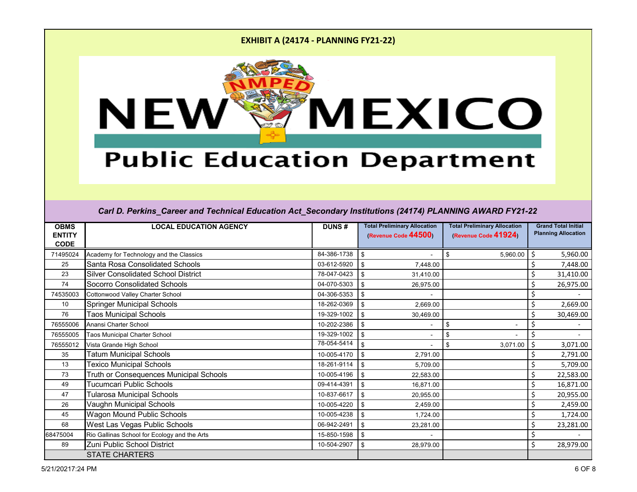

# **Public Education Department**

| <b>OBMS</b><br><b>ENTITY</b> | <b>LOCAL EDUCATION AGENCY</b>                | <b>DUNS#</b> | <b>Total Preliminary Allocation</b><br>(Revenue Code 44500) | <b>Total Preliminary Allocation</b><br>(Revenue Code 41924) | <b>Grand Total Initial</b><br><b>Planning Allocation</b> |
|------------------------------|----------------------------------------------|--------------|-------------------------------------------------------------|-------------------------------------------------------------|----------------------------------------------------------|
| <b>CODE</b>                  |                                              |              |                                                             |                                                             |                                                          |
| 71495024                     | Academy for Technology and the Classics      | 84-386-1738  | \$                                                          | 5,960.00<br>\$                                              | 5,960.00<br>Ś                                            |
| 25                           | <b>Santa Rosa Consolidated Schools</b>       | 03-612-5920  | 7,448.00<br>\$                                              |                                                             | 7,448.00                                                 |
| 23                           | <b>Silver Consolidated School District</b>   | 78-047-0423  | \$<br>31,410.00                                             |                                                             | 31,410.00                                                |
| 74                           | <b>Socorro Consolidated Schools</b>          | 04-070-5303  | \$<br>26,975.00                                             |                                                             | \$<br>26,975.00                                          |
| 74535003                     | Cottonwood Valley Charter School             | 04-306-5353  | \$                                                          |                                                             |                                                          |
| 10                           | <b>Springer Municipal Schools</b>            | 18-262-0369  | \$<br>2,669.00                                              |                                                             | 2,669.00                                                 |
| 76                           | <b>Taos Municipal Schools</b>                | 19-329-1002  | \$<br>30,469.00                                             |                                                             | 30,469.00                                                |
| 76555006                     | Anansi Charter School                        | 10-202-2386  | \$                                                          | $\sqrt[6]{2}$                                               |                                                          |
| 76555005                     | <b>Taos Municipal Charter School</b>         | 19-329-1002  | \$                                                          | \$                                                          |                                                          |
| 76555012                     | Vista Grande High School                     | 78-054-5414  | \$                                                          | 3,071.00<br>\$                                              | 3,071.00                                                 |
| 35                           | <b>Tatum Municipal Schools</b>               | 10-005-4170  | \$<br>2,791.00                                              |                                                             | 2,791.00                                                 |
| 13                           | <b>Texico Municipal Schools</b>              | 18-261-9114  | \$<br>5,709.00                                              |                                                             | 5,709.00                                                 |
| 73                           | Truth or Consequences Municipal Schools      | 10-005-4196  | \$<br>22,583.00                                             |                                                             | \$<br>22,583.00                                          |
| 49                           | Tucumcari Public Schools                     | 09-414-4391  | \$<br>16,871.00                                             |                                                             | 16,871.00                                                |
| 47                           | <b>Tularosa Municipal Schools</b>            | 10-837-6617  | \$<br>20,955.00                                             |                                                             | 20,955.00                                                |
| 26                           | Vaughn Municipal Schools                     | 10-005-4220  | \$<br>2,459.00                                              |                                                             | 2,459.00                                                 |
| 45                           | Wagon Mound Public Schools                   | 10-005-4238  | \$<br>1,724.00                                              |                                                             | \$<br>1,724.00                                           |
| 68                           | West Las Vegas Public Schools                | 06-942-2491  | \$<br>23,281.00                                             |                                                             | \$<br>23,281.00                                          |
| 68475004                     | Rio Gallinas School for Ecology and the Arts | 15-850-1598  | \$                                                          |                                                             | \$                                                       |
| 89                           | Zuni Public School District                  | 10-504-2907  | \$<br>28,979.00                                             |                                                             | \$<br>28,979.00                                          |
|                              | <b>STATE CHARTERS</b>                        |              |                                                             |                                                             |                                                          |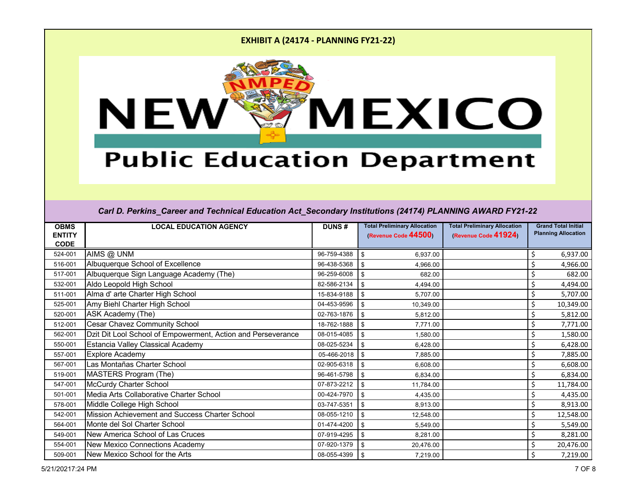

# **Public Education Department**

| <b>OBMS</b>                  | <b>LOCAL EDUCATION AGENCY</b>                                | <b>DUNS#</b> | <b>Total Preliminary Allocation</b> | <b>Total Preliminary Allocation</b> | <b>Grand Total Initial</b><br><b>Planning Allocation</b> |
|------------------------------|--------------------------------------------------------------|--------------|-------------------------------------|-------------------------------------|----------------------------------------------------------|
| <b>ENTITY</b><br><b>CODE</b> |                                                              |              | (Revenue Code 44500)                | (Revenue Code 41924)                |                                                          |
| 524-001                      | AIMS @ UNM                                                   | 96-759-4388  | -\$<br>6,937.00                     |                                     | \$<br>6,937.00                                           |
| 516-001                      | Albuquerque School of Excellence                             | 96-438-5368  | \$<br>4,966.00                      |                                     | \$<br>4,966.00                                           |
| 517-001                      | Albuquerque Sign Language Academy (The)                      | 96-259-6008  | \$<br>682.00                        |                                     | \$<br>682.00                                             |
| 532-001                      | Aldo Leopold High School                                     | 82-586-2134  | \$<br>4,494.00                      |                                     | \$<br>4,494.00                                           |
| 511-001                      | Alma d' arte Charter High School                             | 15-834-9188  | \$<br>5,707.00                      |                                     | \$<br>5,707.00                                           |
| 525-001                      | Amy Biehl Charter High School                                | 04-453-9596  | \$<br>10,349.00                     |                                     | \$<br>10,349.00                                          |
| 520-001                      | <b>ASK Academy (The)</b>                                     | 02-763-1876  | \$<br>5,812.00                      |                                     | \$<br>5,812.00                                           |
| 512-001                      | <b>Cesar Chavez Community School</b>                         | 18-762-1888  | \$<br>7,771.00                      |                                     | \$<br>7,771.00                                           |
| 562-001                      | Dzit Dit Lool School of Empowerment, Action and Perseverance | 08-015-4085  | \$<br>1,580.00                      |                                     | Ś<br>1,580.00                                            |
| 550-001                      | <b>Estancia Valley Classical Academy</b>                     | 08-025-5234  | \$<br>6,428.00                      |                                     | \$<br>6,428.00                                           |
| 557-001                      | <b>Explore Academy</b>                                       | 05-466-2018  | $\sqrt{3}$<br>7,885.00              |                                     | \$<br>7,885.00                                           |
| 567-001                      | Las Montañas Charter School                                  | 02-905-6318  | \$<br>6,608.00                      |                                     | \$<br>6,608.00                                           |
| 519-001                      | MASTERS Program (The)                                        | 96-461-5798  | \$<br>6,834.00                      |                                     | \$<br>6,834.00                                           |
| 547-001                      | <b>McCurdy Charter School</b>                                | 07-873-2212  | -\$<br>11,784.00                    |                                     | \$<br>11,784.00                                          |
| 501-001                      | Media Arts Collaborative Charter School                      | 00-424-7970  | $\sqrt{3}$<br>4,435.00              |                                     | \$<br>4,435.00                                           |
| 578-001                      | Middle College High School                                   | 03-747-5351  | \$<br>8,913.00                      |                                     | \$<br>8,913.00                                           |
| 542-001                      | Mission Achievement and Success Charter School               | 08-055-1210  | \$<br>12,548.00                     |                                     | \$<br>12,548.00                                          |
| 564-001                      | Monte del Sol Charter School                                 | 01-474-4200  | \$<br>5,549.00                      |                                     | \$<br>5,549.00                                           |
| 549-001                      | New America School of Las Cruces                             | 07-919-4295  | \$<br>8,281.00                      |                                     | \$<br>8,281.00                                           |
| 554-001                      | <b>New Mexico Connections Academy</b>                        | 07-920-1379  | \$<br>20,476.00                     |                                     | \$<br>20,476.00                                          |
| 509-001                      | New Mexico School for the Arts                               | 08-055-4399  | -\$<br>7,219.00                     |                                     | \$<br>7,219.00                                           |